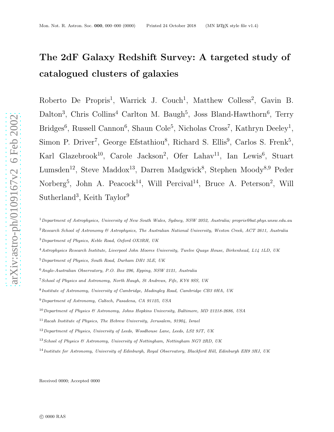# The 2dF Galaxy Redshift Survey: A targeted study of catalogued clusters of galaxies

Roberto De Propris<sup>1</sup>, Warrick J. Couch<sup>1</sup>, Matthew Colless<sup>2</sup>, Gavin B. Dalton<sup>3</sup>, Chris Collins<sup>4</sup> Carlton M. Baugh<sup>5</sup>, Joss Bland-Hawthorn<sup>6</sup>, Terry Bridges<sup>6</sup>, Russell Cannon<sup>6</sup>, Shaun Cole<sup>5</sup>, Nicholas Cross<sup>7</sup>, Kathryn Deeley<sup>1</sup>, Simon P. Driver<sup>7</sup>, George Efstathiou<sup>8</sup>, Richard S. Ellis<sup>9</sup>, Carlos S. Frenk<sup>5</sup>, Karl Glazebrook<sup>10</sup>, Carole Jackson<sup>2</sup>, Ofer Lahav<sup>11</sup>, Ian Lewis<sup>6</sup>, Stuart Lumsden<sup>12</sup>, Steve Maddox<sup>13</sup>, Darren Madgwick<sup>8</sup>, Stephen Moody<sup>8,9</sup> Peder Norberg<sup>5</sup>, John A. Peacock<sup>14</sup>, Will Percival<sup>14</sup>, Bruce A. Peterson<sup>2</sup>, Will  $\text{Sutherland}^3$ , Keith Taylor<sup>9</sup>

<sup>1</sup>Department of Astrophysics, University of New South Wales, Sydney, NSW 2052, Australia; propris@bat.phys.unsw.edu.au

<sup>3</sup>Department of Physics, Keble Road, Oxford OX3RH, UK

<sup>4</sup>Astrophysics Research Institute, Liverpool John Moores University, Twelve Quays House, Birkenhead, L14 1LD, UK

<sup>5</sup>Department of Physics, South Road, Durham DH1 3LE, UK

- <sup>12</sup> Department of Physics, University of Leeds, Woodhouse Lane, Leeds, LS2 9JT, UK
- <sup>13</sup> School of Physics & Astronomy, University of Nottingham, Nottingham NG7 2RD, UK

Received 0000; Accepted 0000

 $2$ Research School of Astronomy  $\&$  Astrophysics, The Australian National University, Weston Creek, ACT 2611, Australia

<sup>6</sup>Anglo-Australian Observatory, P.O. Box 296, Epping, NSW 2121, Australia

<sup>7</sup>School of Physics and Astronomy, North Haugh, St Andrews, Fife, KY6 9SS, UK

<sup>&</sup>lt;sup>8</sup> Institute of Astronomy, University of Cambridge, Madingley Road, Cambridge CB3 0HA, UK

<sup>9</sup>Department of Astronomy, Caltech, Pasadena, CA 91125, USA

 $10$  Department of Physics & Astronomy, Johns Hopkins University, Baltimore, MD 21218-2686, USA

 $11$ Racah Institute of Physics, The Hebrew University, Jerusalem, 91904, Israel

<sup>14</sup>Institute for Astronomy, University of Edinburgh, Royal Observatory, Blackford Hill, Edinburgh EH9 3HJ, UK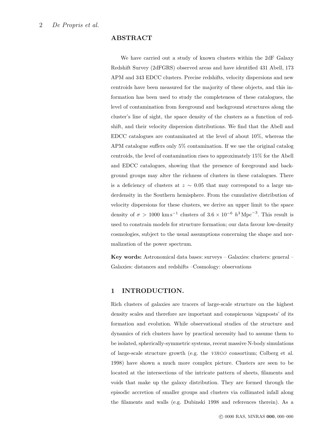### ABSTRACT

We have carried out a study of known clusters within the 2dF Galaxy Redshift Survey (2dFGRS) observed areas and have identified 431 Abell, 173 APM and 343 EDCC clusters. Precise redshifts, velocity dispersions and new centroids have been measured for the majority of these objects, and this information has been used to study the completeness of these catalogues, the level of contamination from foreground and background structures along the cluster's line of sight, the space density of the clusters as a function of redshift, and their velocity dispersion distributions. We find that the Abell and EDCC catalogues are contaminated at the level of about 10%, whereas the APM catalogue suffers only 5% contamination. If we use the original catalog centroids, the level of contamination rises to approximately 15% for the Abell and EDCC catalogues, showing that the presence of foreground and background groups may alter the richness of clusters in these catalogues. There is a deficiency of clusters at  $z \sim 0.05$  that may correspond to a large underdensity in the Southern hemisphere. From the cumulative distribution of velocity dispersions for these clusters, we derive an upper limit to the space density of  $\sigma > 1000 \text{ km s}^{-1}$  clusters of  $3.6 \times 10^{-6} \text{ h}^3 \text{ Mpc}^{-3}$ . This result is used to constrain models for structure formation; our data favour low-density cosmologies, subject to the usual assumptions concerning the shape and normalization of the power spectrum.

Key words: Astronomical data bases: surveys – Galaxies: clusters: general – Galaxies: distances and redshifts –Cosmology: observations

# 1 INTRODUCTION.

Rich clusters of galaxies are tracers of large-scale structure on the highest density scales and therefore are important and conspicuous 'signposts' of its formation and evolution. While observational studies of the structure and dynamics of rich clusters have by practical necessity had to assume them to be isolated, spherically-symmetric systems, recent massive N-body simulations of large-scale structure growth (e.g. the VIRGO consortium; Colberg et al. 1998) have shown a much more complex picture. Clusters are seen to be located at the intersections of the intricate pattern of sheets, filaments and voids that make up the galaxy distribution. They are formed through the episodic accretion of smaller groups and clusters via collimated infall along the filaments and walls (e.g. Dubinski 1998 and references therein). As a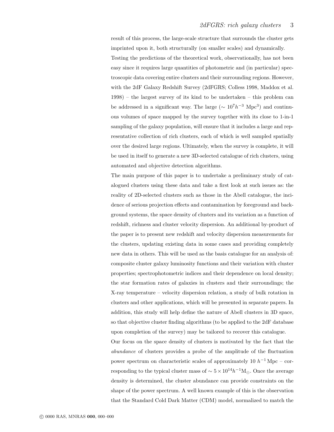result of this process, the large-scale structure that surrounds the cluster gets imprinted upon it, both structurally (on smaller scales) and dynamically.

Testing the predictions of the theoretical work, observationally, has not been easy since it requires large quantities of photometric and (in particular) spectroscopic data covering entire clusters and their surrounding regions. However, with the 2dF Galaxy Redshift Survey (2dFGRS; Colless 1998, Maddox et al. 1998) – the largest survey of its kind to be undertaken – this problem can be addressed in a significant way. The large ( $\sim 10^7 h^{-3}$  Mpc<sup>3</sup>) and continuous volumes of space mapped by the survey together with its close to 1-in-1 sampling of the galaxy population, will ensure that it includes a large and representative collection of rich clusters, each of which is well sampled spatially over the desired large regions. Ultimately, when the survey is complete, it will be used in itself to generate a new 3D-selected catalogue of rich clusters, using automated and objective detection algorithms.

The main purpose of this paper is to undertake a preliminary study of catalogued clusters using these data and take a first look at such issues as: the reality of 2D-selected clusters such as those in the Abell catalogue, the incidence of serious projection effects and contamination by foreground and background systems, the space density of clusters and its variation as a function of redshift, richness and cluster velocity dispersion. An additional by-product of the paper is to present new redshift and velocity dispersion measurements for the clusters, updating existing data in some cases and providing completely new data in others. This will be used as the basis catalogue for an analysis of: composite cluster galaxy luminosity functions and their variation with cluster properties; spectrophotometric indices and their dependence on local density; the star formation rates of galaxies in clusters and their surroundings; the X-ray temperature – velocity dispersion relation, a study of bulk rotation in clusters and other applications, which will be presented in separate papers. In addition, this study will help define the nature of Abell clusters in 3D space, so that objective cluster finding algorithms (to be applied to the 2dF database upon completion of the survey) may be tailored to recover this catalogue.

Our focus on the space density of clusters is motivated by the fact that the abundance of clusters provides a probe of the amplitude of the fluctuation power spectrum on characteristic scales of approximately 10  $h^{-1}$  Mpc – corresponding to the typical cluster mass of  $\sim 5 \times 10^{14} h^{-1} M_{\odot}$ . Once the average density is determined, the cluster abundance can provide constraints on the shape of the power spectrum. A well known example of this is the observation that the Standard Cold Dark Matter (CDM) model, normalized to match the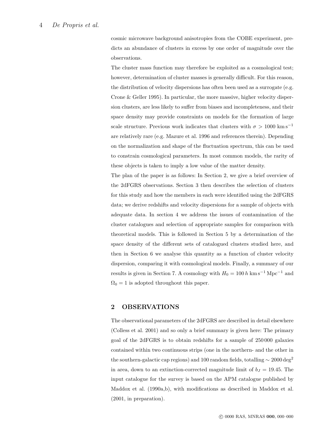cosmic microwave background anisotropies from the COBE experiment, predicts an abundance of clusters in excess by one order of magnitude over the observations.

The cluster mass function may therefore be exploited as a cosmological test; however, determination of cluster masses is generally difficult. For this reason, the distribution of velocity dispersions has often been used as a surrogate (e.g. Crone & Geller 1995). In particular, the more massive, higher velocity dispersion clusters, are less likely to suffer from biases and incompleteness, and their space density may provide constraints on models for the formation of large scale structure. Previous work indicates that clusters with  $\sigma > 1000$  km s<sup>−1</sup> are relatively rare (e.g. Mazure et al. 1996 and references therein). Depending on the normalization and shape of the fluctuation spectrum, this can be used to constrain cosmological parameters. In most common models, the rarity of these objects is taken to imply a low value of the matter density.

The plan of the paper is as follows: In Section 2, we give a brief overview of the 2dFGRS observations. Section 3 then describes the selection of clusters for this study and how the members in each were identified using the 2dFGRS data; we derive redshifts and velocity dispersions for a sample of objects with adequate data. In section 4 we address the issues of contamination of the cluster catalogues and selection of appropriate samples for comparison with theoretical models. This is followed in Section 5 by a determination of the space density of the different sets of catalogued clusters studied here, and then in Section 6 we analyse this quantity as a function of cluster velocity dispersion, comparing it with cosmological models. Finally, a summary of our results is given in Section 7. A cosmology with  $H_0 = 100 h \text{ km s}^{-1} \text{ Mpc}^{-1}$  and  $\Omega_0 = 1$  is adopted throughout this paper.

## 2 OBSERVATIONS

The observational parameters of the 2dFGRS are described in detail elsewhere (Colless et al. 2001) and so only a brief summary is given here: The primary goal of the 2dFGRS is to obtain redshifts for a sample of 250 000 galaxies contained within two continuous strips (one in the northern- and the other in the southern-galactic cap regions) and 100 random fields, totalling  $\sim 2000 \deg^2$ in area, down to an extinction-corrected magnitude limit of  $b<sub>J</sub> = 19.45$ . The input catalogue for the survey is based on the APM catalogue published by Maddox et al. (1990a,b), with modifications as described in Maddox et al. (2001, in preparation).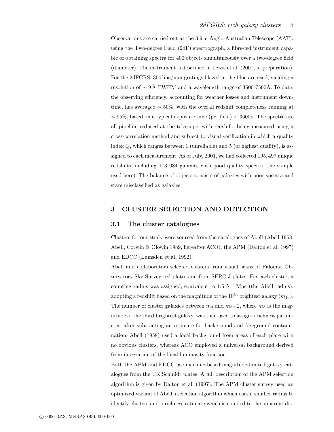Observations are carried out at the 3.9 m Anglo-Australian Telescope (AAT), using the Two-degree Field (2dF) spectrograph, a fibre-fed instrument capable of obtaining spectra for 400 objects simultaneously over a two-degree field (diameter). The instrument is described in Lewis et al. (2001, in preparation). For the 2dFGRS, 300 line/mm gratings blazed in the blue are used, yielding a resolution of  $\sim 9 \text{ Å}$  FWHM and a wavelength range of 3500-7500Å. To date, the observing efficiency, accounting for weather losses and instrument downtime, has averaged ∼ 50%, with the overall redshift completeness running at  $\sim$  95%, based on a typical exposure time (per field) of 3600 s. The spectra are all pipeline reduced at the telescope, with redshifts being measured using a cross-correlation method and subject to visual verification in which a quality index  $Q$ , which ranges between 1 (unreliable) and 5 (of highest quality), is assigned to each measurement. As of July, 2001, we had collected 195, 497 unique redshifts, including 173, 084 galaxies with good quality spectra (the sample used here). The balance of objects consists of galaxies with poor spectra and stars misclassified as galaxies.

### 3 CLUSTER SELECTION AND DETECTION

### 3.1 The cluster catalogues

Clusters for our study were sourced from the catalogues of Abell (Abell 1958; Abell, Corwin & Olowin 1989, hereafter ACO), the APM (Dalton et al. 1997) and EDCC (Lumsden et al. 1992).

Abell and collaborators selected clusters from visual scans of Palomar Observatory Sky Survey red plates and from SERC-J plates. For each cluster, a counting radius was assigned, equivalent to 1.5  $h^{-1}$  Mpc (the Abell radius), adopting a redshift based on the magnitude of the  $10^{th}$  brightest galaxy  $(m_{10})$ . The number of cluster galaxies between  $m_3$  and  $m_3+2$ , where  $m_3$  is the magnitude of the third brightest galaxy, was then used to assign a richness parameter, after subtracting an estimate for background and foreground contamination. Abell (1958) used a local background from areas of each plate with no obvious clusters, whereas ACO employed a universal background derived from integration of the local luminosity function.

Both the APM and EDCC use machine-based magnitude-limited galaxy catalogues from the UK Schmidt plates. A full description of the APM selection algorithm is given by Dalton et al. (1997). The APM cluster survey used an optimized variant of Abell's selection algorithm which uses a smaller radius to identify clusters and a richness estimate which is coupled to the apparent dis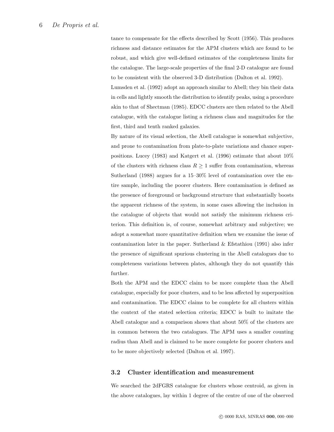tance to compensate for the effects described by Scott (1956). This produces richness and distance estimates for the APM clusters which are found to be robust, and which give well-defined estimates of the completeness limits for the catalogue. The large-scale properties of the final 2-D catalogue are found to be consistent with the observed 3-D distribution (Dalton et al. 1992).

Lumsden et al. (1992) adopt an approach similar to Abell; they bin their data in cells and lightly smooth the distribution to identify peaks, using a procedure akin to that of Shectman (1985). EDCC clusters are then related to the Abell catalogue, with the catalogue listing a richness class and magnitudes for the first, third and tenth ranked galaxies.

By nature of its visual selection, the Abell catalogue is somewhat subjective, and prone to contamination from plate-to-plate variations and chance superpositions. Lucey (1983) and Katgert et al. (1996) estimate that about 10% of the clusters with richness class  $R \geq 1$  suffer from contamination, whereas Sutherland (1988) argues for a 15–30% level of contamination over the entire sample, including the poorer clusters. Here contamination is defined as the presence of foreground or background structure that substantially boosts the apparent richness of the system, in some cases allowing the inclusion in the catalogue of objects that would not satisfy the minimum richness criterion. This definition is, of course, somewhat arbitrary and subjective; we adopt a somewhat more quantitative definition when we examine the issue of contamination later in the paper. Sutherland & Efstathiou (1991) also infer the presence of significant spurious clustering in the Abell catalogues due to completeness variations between plates, although they do not quantify this further.

Both the APM and the EDCC claim to be more complete than the Abell catalogue, especially for poor clusters, and to be less affected by superposition and contamination. The EDCC claims to be complete for all clusters within the context of the stated selection criteria; EDCC is built to imitate the Abell catalogue and a comparison shows that about 50% of the clusters are in common between the two catalogues. The APM uses a smaller counting radius than Abell and is claimed to be more complete for poorer clusters and to be more objectively selected (Dalton et al. 1997).

# 3.2 Cluster identification and measurement

We searched the 2dFGRS catalogue for clusters whose centroid, as given in the above catalogues, lay within 1 degree of the centre of one of the observed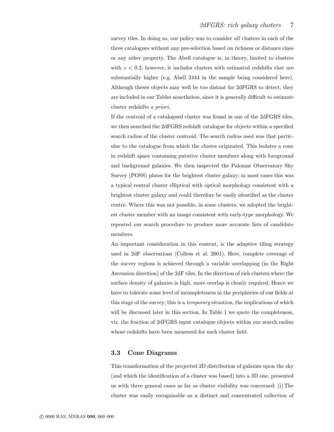survey tiles. In doing so, our policy was to consider all clusters in each of the three catalogues without any pre-selection based on richness or distance class or any other property. The Abell catalogue is, in theory, limited to clusters with  $z < 0.2$ ; however, it includes clusters with estimated redshifts that are substantially higher (e.g. Abell 2444 in the sample being considered here). Although theses objects may well be too distant for 2dFGRS to detect, they are included in our Tables nonetheless, since it is generally difficult to estimate cluster redshifts a priori.

If the centroid of a catalogued cluster was found in one of the 2dFGRS tiles, we then searched the 2dFGRS redshift catalogue for objects within a specified search radius of the cluster centroid. The search radius used was that particular to the catalogue from which the cluster originated. This isolates a cone in redshift space containing putative cluster members along with foreground and background galaxies. We then inspected the Palomar Observatory Sky Survey (POSS) plates for the brightest cluster galaxy: in most cases this was a typical central cluster elliptical with optical morphology consistent with a brightest cluster galaxy and could therefore be easily identified as the cluster centre. Where this was not possible, in some clusters, we adopted the brightest cluster member with an image consistent with early-type morphology. We repeated our search procedure to produce more accurate lists of candidate members.

An important consideration in this context, is the adaptive tiling strategy used in 2dF observations (Colless et al. 2001). Here, complete coverage of the survey regions is achieved through a variable overlapping (in the Right Ascension direction) of the 2dF tiles. In the direction of rich clusters where the surface density of galaxies is high, more overlap is clearly required. Hence we have to tolerate some level of incompleteness in the peripheries of our fields at this stage of the survey; this is a temporary situation, the implications of which will be discussed later in this section. In Table 1 we quote the completeness, viz. the fraction of 2dFGRS input catalogue objects within our search radius whose redshifts have been measured for each cluster field.

### 3.3 Cone Diagrams

This transformation of the projected 2D distribution of galaxies upon the sky (and which the identification of a cluster was based) into a 3D one, presented us with three general cases as far as cluster visibility was concerned: (i) The cluster was easily recognizable as a distinct and concentrated collection of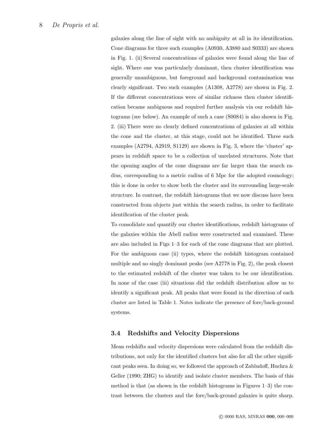galaxies along the line of sight with no ambiguity at all in its identification. Cone diagrams for three such examples (A0930, A3880 and S0333) are shown in Fig. 1. (ii) Several concentrations of galaxies were found along the line of sight. Where one was particularly dominant, then cluster identification was generally unambiguous, but foreground and background contamination was clearly significant. Two such examples (A1308, A2778) are shown in Fig. 2. If the different concentrations were of similar richness then cluster identification became ambiguous and required further analysis via our redshift histograms (see below). An example of such a case (S0084) is also shown in Fig. 2. (iii) There were no clearly defined concentrations of galaxies at all within the cone and the cluster, at this stage, could not be identified. Three such examples (A2794, A2919, S1129) are shown in Fig. 3, where the 'cluster' appears in redshift space to be a collection of unrelated structures. Note that the opening angles of the cone diagrams are far larger than the search radius, corresponding to a metric radius of 6 Mpc for the adopted cosmology; this is done in order to show both the cluster and its surrounding large-scale structure. In contrast, the redshift histograms that we now discuss have been constructed from objects just within the search radius, in order to facilitate identification of the cluster peak.

To consolidate and quantify our cluster identifications, redshift histograms of the galaxies within the Abell radius were constructed and examined. These are also included in Figs 1–3 for each of the cone diagrams that are plotted. For the ambiguous case (ii) types, where the redshift histogram contained multiple and no singly dominant peaks (see A2778 in Fig. 2), the peak closest to the estimated redshift of the cluster was taken to be our identification. In none of the case (iii) situations did the redshift distribution allow us to identify a significant peak. All peaks that were found in the direction of each cluster are listed in Table 1. Notes indicate the presence of fore/back-ground systems.

### 3.4 Redshifts and Velocity Dispersions

Mean redshifts and velocity dispersions were calculated from the redshift distributions, not only for the identified clusters but also for all the other significant peaks seen. In doing so, we followed the approach of Zabludoff, Huchra & Geller (1990; ZHG) to identify and isolate cluster members. The basis of this method is that (as shown in the redshift histograms in Figures 1–3) the contrast between the clusters and the fore/back-ground galaxies is quite sharp.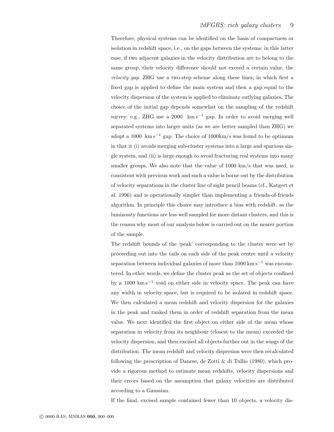Therefore, physical systems can be identified on the basis of compactness or isolation in redshift space, i.e., on the gaps between the systems: in this latter case, if two adjacent galaxies in the velocity distribution are to belong to the same group, their velocity difference should not exceed a certain value, the velocity gap. ZHG use a two-step scheme along these lines, in which first a fixed gap is applied to define the main system and then a gap equal to the velocity dispersion of the system is applied to eliminate outlying galaxies. The choice of the initial gap depends somewhat on the sampling of the redshift survey: e.g., ZHG use a 2000 km s<sup>-1</sup> gap. In order to avoid merging well separated systems into larger units (as we are better sampled than ZHG) we adopt a 1000 km s<sup>-1</sup> gap. The choice of 1000 km/s was found to be optimum in that it (i) avoids merging sub-cluster systems into a large and spurious single system, and (ii) is large enough to avoid fracturing real systems into many smaller groups. We also note that the value of 1000 km/s that was used, is consistent with previous work and such a value is borne out by the distribution of velocity separations in the cluster line of sight pencil beams (cf., Katgert et al. 1996) and is operationally simpler than implementing a friends-of-friends algorithm. In principle this choice may introduce a bias with redshift, as the luminosity functions are less well sampled for more distant clusters, and this is the reason why most of our analysis below is carried out on the nearer portion of the sample.

The redshift bounds of the 'peak' corresponding to the cluster were set by proceeding out into the tails on each side of the peak centre until a velocity separation between individual galaxies of more than  $1000 \text{ km s}^{-1}$  was encountered. In other words, we define the cluster peak as the set of objects confined by a 1000 km s<sup> $-1$ </sup> void on either side in velocity space. The peak can have any width in velocity space, but is required to be isolated in redshift space. We then calculated a mean redshift and velocity dispersion for the galaxies in the peak and ranked them in order of redshift separation from the mean value. We next identified the first object on either side of the mean whose separation in velocity from its neighbour (closest to the mean) exceeded the velocity dispersion, and then excised all objects further out in the wings of the distribution. The mean redshift and velocity dispersion were then recalculated following the prescription of Danese, de Zotti  $\&$  di Tullio (1980), which provide a rigorous method to estimate mean redshifts, velocity dispersions and their errors based on the assumption that galaxy velocities are distributed according to a Gaussian.

If the final, excised sample contained fewer than 10 objects, a velocity dis-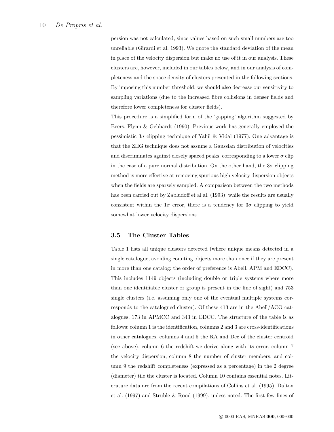persion was not calculated, since values based on such small numbers are too unreliable (Girardi et al. 1993). We quote the standard deviation of the mean in place of the velocity dispersion but make no use of it in our analysis. These clusters are, however, included in our tables below, and in our analysis of completeness and the space density of clusters presented in the following sections. By imposing this number threshold, we should also decrease our sensitivity to sampling variations (due to the increased fibre collisions in denser fields and therefore lower completeness for cluster fields).

This procedure is a simplified form of the 'gapping' algorithm suggested by Beers, Flynn & Gebhardt (1990). Previous work has generally employed the pessimistic  $3\sigma$  clipping technique of Yahil & Vidal (1977). One advantage is that the ZHG technique does not assume a Gaussian distribution of velocities and discriminates against closely spaced peaks, corresponding to a lower  $\sigma$  clip in the case of a pure normal distribution. On the other hand, the  $3\sigma$  clipping method is more effective at removing spurious high velocity dispersion objects when the fields are sparsely sampled. A comparison between the two methods has been carried out by Zabludoff et al al. (1993): while the results are usually consistent within the  $1\sigma$  error, there is a tendency for  $3\sigma$  clipping to yield somewhat lower velocity dispersions.

### 3.5 The Cluster Tables

Table 1 lists all unique clusters detected (where unique means detected in a single catalogue, avoiding counting objects more than once if they are present in more than one catalog: the order of preference is Abell, APM and EDCC). This includes 1149 objects (including double or triple systems where more than one identifiable cluster or group is present in the line of sight) and 753 single clusters (i.e. assuming only one of the eventual multiple systems corresponds to the catalogued cluster). Of these 413 are in the Abell/ACO catalogues, 173 in APMCC and 343 in EDCC. The structure of the table is as follows: column 1 is the identification, columns 2 and 3 are cross-identifications in other catalogues, columns 4 and 5 the RA and Dec of the cluster centroid (see above), column 6 the redshift we derive along with its error, column 7 the velocity dispersion, column 8 the number of cluster members, and column 9 the redshift completeness (expressed as a percentage) in the 2 degree (diameter) tile the cluster is located. Column 10 contains essential notes. Literature data are from the recent compilations of Collins et al. (1995), Dalton et al. (1997) and Struble & Rood (1999), unless noted. The first few lines of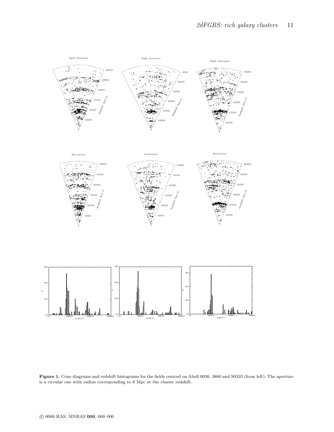

Figure 1. Cone diagrams and redshift histograms for the fields centred on Abell 0930, 3880 and S0333 (from left). The aperture is a circular one with radius corresponding to 6 Mpc at the cluster redshift.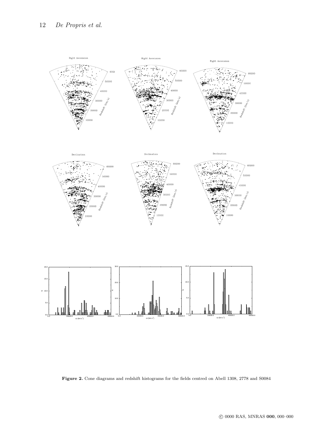

Figure 2. Cone diagrams and redshift histograms for the fields centred on Abell 1308, 2778 and S0084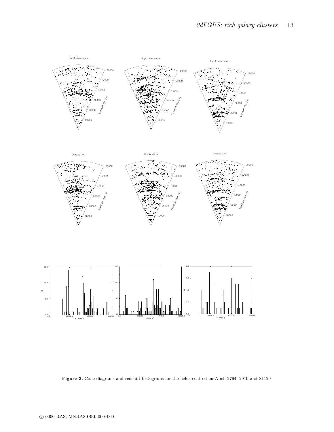

Figure 3. Cone diagrams and redshift histograms for the fields centred on Abell 2794, 2919 and S1129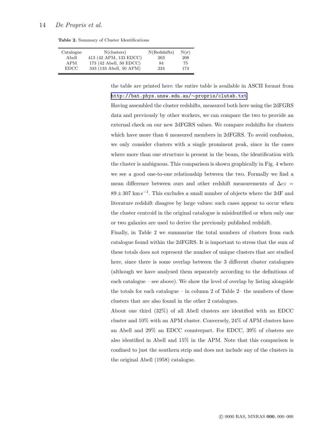#### 14 *De Propris et al.*

Table 2. Summary of Cluster Identifications

| Catalogue | $N$ (clusters)          | N(Redshifts) | $N(\sigma)$ |
|-----------|-------------------------|--------------|-------------|
| Abell     | 413 (42 APM, 133 EDCC)  | 263          | 208         |
| APM       | 173 (42 Abell, 50 EDCC) | 84           | 75          |
| EDCC.     | 343 (133 Abell, 50 APM) | 224          | 174         |

the table are printed here: the entire table is available in ASCII format from [http://bat.phys.unsw.edu.au/](http://bat.phys.unsw.edu.au/~propris/clutab.txt)∼propris/clutab.txt

Having assembled the cluster redshifts, measured both here using the 2dFGRS data and previously by other workers, we can compare the two to provide an external check on our new 2dFGRS values. We compare redshifts for clusters which have more than 6 measured members in 2dFGRS. To avoid confusion, we only consider clusters with a single prominent peak, since in the cases where more than one structure is present in the beam, the identification with the cluster is ambiguous. This comparison is shown graphically in Fig. 4 where we see a good one-to-one relationship between the two. Formally we find a mean difference between ours and other redshift measurements of  $\Delta cz =$  $89 \pm 307$  km s<sup>-1</sup>. This excludes a small number of objects where the 2dF and literature redshift disagree by large values: such cases appear to occur when the cluster centroid in the original catalogue is misidentified or when only one or two galaxies are used to derive the previously published redshift.

Finally, in Table 2 we summarize the total numbers of clusters from each catalogue found within the 2dFGRS. It is important to stress that the sum of these totals does not represent the number of unique clusters that are studied here, since there is some overlap between the 3 different cluster catalogues (although we have analysed them separately according to the definitions of each catalogue – see above). We show the level of overlap by listing alongside the totals for each catalogue – in column 2 of Table  $2-$  the numbers of these clusters that are also found in the other 2 catalogues.

About one third (32%) of all Abell clusters are identified with an EDCC cluster and 10% with an APM cluster. Conversely, 24% of APM clusters have an Abell and 29% an EDCC counterpart. For EDCC, 39% of clusters are also identified in Abell and 15% in the APM. Note that this comparison is confined to just the southern strip and does not include any of the clusters in the original Abell (1958) catalogue.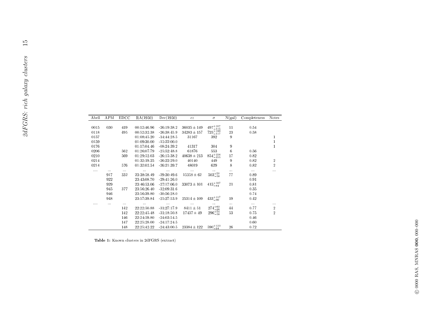| Abell    | <b>APM</b> | EDCC       | RA(1950)                   | Dec(1950)                      | $c\boldsymbol{z}$ | $\sigma$                     | $\overline{N}$ (gal) | Completeness |
|----------|------------|------------|----------------------------|--------------------------------|-------------------|------------------------------|----------------------|--------------|
|          |            |            |                            |                                |                   |                              |                      |              |
| 0015     | 030        | 419        | 00:12:46.96                | $-26:19:38.2$                  | $36035 \pm 149$   | $497\substack{+167 \\ -115}$ | 11                   | 0.54         |
| 0118     |            | 495        | 00:52:32.38                | $-26.38.45.9$                  | $34283 \pm 157$   | $725\substack{+160 \\ -117}$ | 23                   | 0.58         |
| 0157     |            |            | 01:08:45.20                | $-14:44:28.5$                  | 31167             | 392                          | $\boldsymbol{9}$     |              |
| 0159     |            |            | 01:09:30.00                | $-15:22:00.0$                  |                   |                              |                      |              |
| 0176     |            |            | 01:17:04.46                | $-08:24:39.2$                  | 41317             | 304                          | 9                    |              |
| 0206     |            | 562        | 01:26:07.79                | $-25:52:48.8$                  | 61876             | 553                          | 6                    | 0.56         |
| 0210     |            | 569        | 01:29:52.03                | $-26:15:38.2$                  | $40638 \pm 213$   | $854_{-155}^{+226}$          | 17                   | 0.82         |
| 0214     |            |            | 01:32:19.25                | $-26:22:29.0$                  | 40140             | 449                          | 9                    | $0.82\,$     |
| 0214     |            | 576        | 01:32:02.54                | $-26:21:39.7$                  | 48019             | 629                          | 8                    | 0.82         |
| $\ldots$ | $\ldots$   | $\cdots$   | .                          | $\ldots$                       | $\cdots$          | $\ldots$                     | $\ldots$             | $\cdots$     |
|          | 917        | 332        | 23:38:58.49                | $-29.30.49.6$                  | $15358 \pm 62$    | $503^{+51}_{-58}$            | 77                   | 0.89         |
|          | 922        |            | 23:43:08.70                | $-29:41:26.0$                  |                   |                              |                      | 0.91         |
|          | 929        |            | 23:46:53.06                | $-27:17:06.0$                  | $33073 \pm 101$   | $415\substack{+107 \\ -84}$  | 21                   | $\rm 0.81$   |
|          | 945        | 377        | 23:56:26.40                | $-32:09:31.6$                  |                   |                              |                      | 0.35         |
|          | 946        |            | 23:56:39.80                | $-30:56:28.0$                  |                   |                              |                      | 0.74         |
|          | 948        |            | 23:57:39.84                | $-25:27:53.9$                  | $25314 \pm 109$   | $433^{+117}_{-90}\,$         | 19                   | 0.42         |
|          |            | $\cdots$   | $\ldots$                   | $\sim$                         | $\ldots$          | $\cdots$                     | $\cdots$             | $\sim$       |
| $\cdots$ |            |            |                            |                                |                   |                              | 44                   | 0.77         |
|          | $\cdots$   |            |                            |                                |                   |                              |                      |              |
|          |            | 142        | 22:22:50.88                | $-31:27:17.9$                  | $84\,11\pm51$     | $274^{+63}_{-68}$            |                      |              |
|          |            | 142        | 22:22:45.48                | $-31:18:50.8$                  | $17437 \pm 49$    | $296^{+54}_{-58}$            | 53                   | 0.75         |
|          |            | 146<br>147 | 22:24:59.80<br>22:25:28.00 | $-24:03:54.5$<br>$-24:17:24.5$ |                   |                              |                      | 0.46<br>0.60 |

Table 1: Known clusters in 2dFGRS (extract)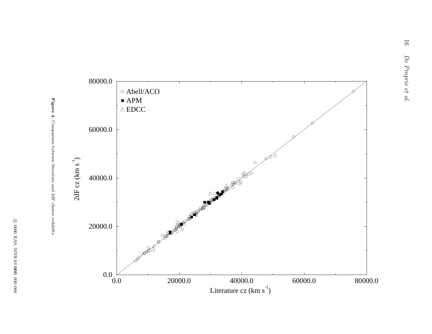

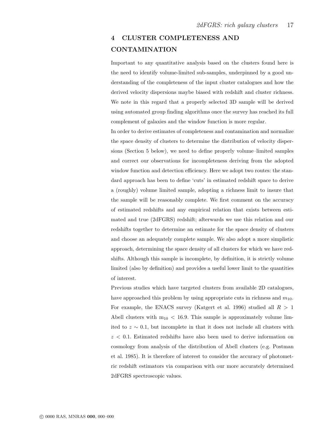# 4 CLUSTER COMPLETENESS AND CONTAMINATION

Important to any quantitative analysis based on the clusters found here is the need to identify volume-limited sub-samples, underpinned by a good understanding of the completeness of the input cluster catalogues and how the derived velocity dispersions maybe biased with redshift and cluster richness. We note in this regard that a properly selected 3D sample will be derived using automated group finding algorithms once the survey has reached its full complement of galaxies and the window function is more regular.

In order to derive estimates of completeness and contamination and normalize the space density of clusters to determine the distribution of velocity dispersions (Section 5 below), we need to define properly volume–limited samples and correct our observations for incompleteness deriving from the adopted window function and detection efficiency. Here we adopt two routes: the standard approach has been to define 'cuts' in estimated redshift space to derive a (roughly) volume limited sample, adopting a richness limit to insure that the sample will be reasonably complete. We first comment on the accuracy of estimated redshifts and any empirical relation that exists between estimated and true (2dFGRS) redshift; afterwards we use this relation and our redshifts together to determine an estimate for the space density of clusters and choose an adequately complete sample. We also adopt a more simplistic approach, determining the space density of all clusters for which we have redshifts. Although this sample is incomplete, by definition, it is strictly volume limited (also by definition) and provides a useful lower limit to the quantities of interest.

Previous studies which have targeted clusters from available 2D catalogues, have approached this problem by using appropriate cuts in richness and  $m_{10}$ . For example, the ENACS survey (Katgert et al. 1996) studied all  $R > 1$ Abell clusters with  $m_{10}$  < 16.9. This sample is approximately volume limited to  $z \sim 0.1$ , but incomplete in that it does not include all clusters with  $z < 0.1$ . Estimated redshifts have also been used to derive information on cosmology from analysis of the distribution of Abell clusters (e.g. Postman et al. 1985). It is therefore of interest to consider the accuracy of photometric redshift estimators via comparison with our more accurately determined 2dFGRS spectroscopic values.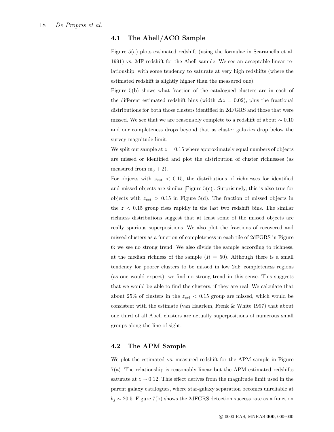### 4.1 The Abell/ACO Sample

Figure 5(a) plots estimated redshift (using the formulae in Scaramella et al. 1991) vs. 2dF redshift for the Abell sample. We see an acceptable linear relationship, with some tendency to saturate at very high redshifts (where the estimated redshift is slightly higher than the measured one).

Figure 5(b) shows what fraction of the catalogued clusters are in each of the different estimated redshift bins (width  $\Delta z = 0.02$ ), plus the fractional distributions for both those clusters identified in 2dFGRS and those that were missed. We see that we are reasonably complete to a redshift of about  $\sim 0.10$ and our completeness drops beyond that as cluster galaxies drop below the survey magnitude limit.

We split our sample at  $z = 0.15$  where approximately equal numbers of objects are missed or identified and plot the distribution of cluster richnesses (as measured from  $m_3 + 2$ ).

For objects with  $z_{est}$  < 0.15, the distributions of richnesses for identified and missed objects are similar [Figure 5(c)]. Surprisingly, this is also true for objects with  $z_{est} > 0.15$  in Figure 5(d). The fraction of missed objects in the  $z < 0.15$  group rises rapidly in the last two redshift bins. The similar richness distributions suggest that at least some of the missed objects are really spurious superpositions. We also plot the fractions of recovered and missed clusters as a function of completeness in each tile of 2dFGRS in Figure 6: we see no strong trend. We also divide the sample according to richness, at the median richness of the sample  $(R = 50)$ . Although there is a small tendency for poorer clusters to be missed in low 2dF completeness regions (as one would expect), we find no strong trend in this sense. This suggests that we would be able to find the clusters, if they are real. We calculate that about 25% of clusters in the  $z_{est}$  < 0.15 group are missed, which would be consistent with the estimate (van Haarlem, Frenk & White 1997) that about one third of all Abell clusters are actually superpositions of numerous small groups along the line of sight.

# 4.2 The APM Sample

We plot the estimated vs. measured redshift for the APM sample in Figure 7(a). The relationship is reasonably linear but the APM estimated redshifts saturate at  $z \sim 0.12$ . This effect derives from the magnitude limit used in the parent galaxy catalogues, where star-galaxy separation becomes unreliable at  $b_j \sim 20.5$ . Figure 7(b) shows the 2dFGRS detection success rate as a function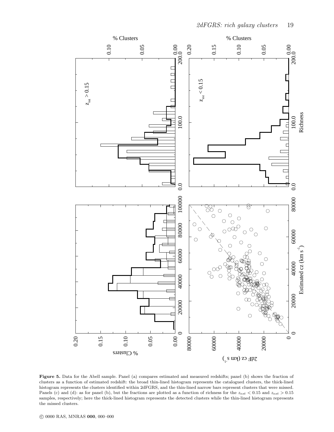

Figure 5. Data for the Abell sample. Panel (a) compares estimated and measured redshifts; panel (b) shows the fraction of clusters as a function of estimated redshift: the broad thin-lined histogram represents the catalogued clusters, the thick-lined histogram represents the clusters identified within 2dFGRS, and the thin-lined narrow bars represent clusters that were missed. Panels (c) and (d): as for panel (b), but the fractions are plotted as a function of richness for the  $z_{est} < 0.15$  and  $z_{est} > 0.15$ samples, respectively; here the thick-lined histogram represents the detected clusters while the thin-lined histogram represents the missed clusters.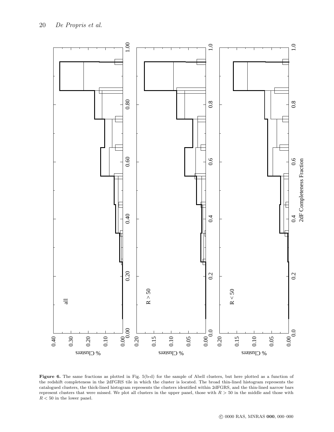

Figure 6. The same fractions as plotted in Fig. 5(b-d) for the sample of Abell clusters, but here plotted as a function of the redshift completeness in the 2dFGRS tile in which the cluster is located. The broad thin-lined histogram represents the catalogued clusters, the thick-lined histogram represents the clusters identified within 2dFGRS, and the thin-lined narrow bars represent clusters that were missed. We plot all clusters in the upper panel, those with  $R > 50$  in the middle and those with  $R<50$  in the lower panel.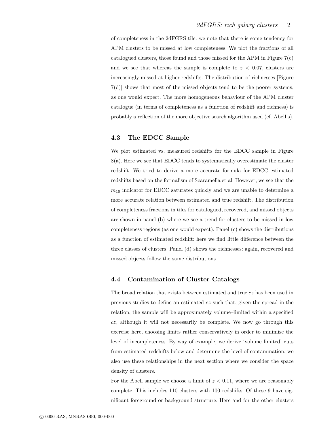of completeness in the 2dFGRS tile: we note that there is some tendency for APM clusters to be missed at low completeness. We plot the fractions of all catalogued clusters, those found and those missed for the APM in Figure 7(c) and we see that whereas the sample is complete to  $z < 0.07$ , clusters are increasingly missed at higher redshifts. The distribution of richnesses [Figure 7(d)] shows that most of the missed objects tend to be the poorer systems, as one would expect. The more homogeneous behaviour of the APM cluster catalogue (in terms of completeness as a function of redshift and richness) is probably a reflection of the more objective search algorithm used (cf. Abell's).

# 4.3 The EDCC Sample

We plot estimated vs. measured redshifts for the EDCC sample in Figure 8(a). Here we see that EDCC tends to systematically overestimate the cluster redshift. We tried to derive a more accurate formula for EDCC estimated redshifts based on the formalism of Scaramella et al. However, we see that the  $m_{10}$  indicator for EDCC saturates quickly and we are unable to determine a more accurate relation between estimated and true redshift. The distribution of completeness fractions in tiles for catalogued, recovered, and missed objects are shown in panel (b) where we see a trend for clusters to be missed in low completeness regions (as one would expect). Panel (c) shows the distributions as a function of estimated redshift: here we find little difference between the three classes of clusters. Panel (d) shows the richnesses: again, recovered and missed objects follow the same distributions.

### 4.4 Contamination of Cluster Catalogs

The broad relation that exists between estimated and true cz has been used in previous studies to define an estimated cz such that, given the spread in the relation, the sample will be approximately volume–limited within a specified cz, although it will not necessarily be complete. We now go through this exercise here, choosing limits rather conservatively in order to minimise the level of incompleteness. By way of example, we derive 'volume limited' cuts from estimated redshifts below and determine the level of contamination: we also use these relationships in the next section where we consider the space density of clusters.

For the Abell sample we choose a limit of  $z < 0.11$ , where we are reasonably complete. This includes 110 clusters with 100 redshifts. Of these 9 have significant foreground or background structure. Here and for the other clusters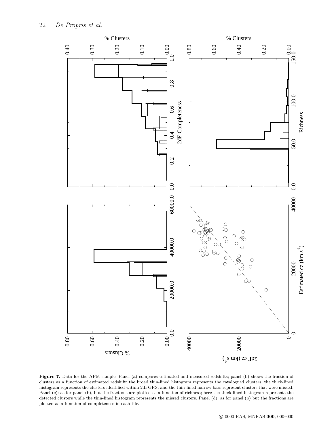

Figure 7. Data for the APM sample. Panel (a) compares estimated and measured redshifts; panel (b) shows the fraction of clusters as a function of estimated redshift: the broad thin-lined histogram represents the catalogued clusters, the thick-lined histogram represents the clusters identified within 2dFGRS, and the thin-lined narrow bars represent clusters that were missed. Panel (c): as for panel (b), but the fractions are plotted as a function of richness; here the thick-lined histogram represents the detected clusters while the thin-lined histogram represents the missed clusters. Panel (d): as for panel (b) but the fractions are plotted as a function of completeness in each tile.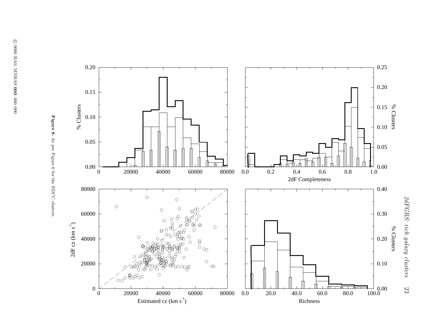

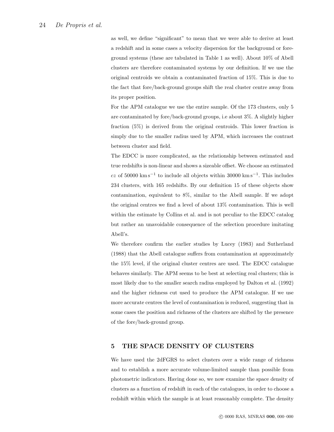as well, we define "significant" to mean that we were able to derive at least a redshift and in some cases a velocity dispersion for the background or foreground systems (these are tabulated in Table 1 as well). About 10% of Abell clusters are therefore contaminated systems by our definition. If we use the original centroids we obtain a contaminated fraction of 15%. This is due to the fact that fore/back-ground groups shift the real cluster centre away from its proper position.

For the APM catalogue we use the entire sample. Of the 173 clusters, only 5 are contaminated by fore/back-ground groups, i.e about 3%. A slightly higher fraction (5%) is derived from the original centroids. This lower fraction is simply due to the smaller radius used by APM, which increases the contrast between cluster and field.

The EDCC is more complicated, as the relationship between estimated and true redshifts is non-linear and shows a sizeable offset. We choose an estimated  $cz$  of 50000 km s<sup>-1</sup> to include all objects within 30000 km s<sup>-1</sup>. This includes 234 clusters, with 165 redshifts. By our definition 15 of these objects show contamination, equivalent to 8%, similar to the Abell sample. If we adopt the original centres we find a level of about 13% contamination. This is well within the estimate by Collins et al. and is not peculiar to the EDCC catalog but rather an unavoidable consequence of the selection procedure imitating Abell's.

We therefore confirm the earlier studies by Lucey (1983) and Sutherland (1988) that the Abell catalogue suffers from contamination at approximately the 15% level, if the original cluster centres are used. The EDCC catalogue behaves similarly. The APM seems to be best at selecting real clusters; this is most likely due to the smaller search radius employed by Dalton et al. (1992) and the higher richness cut used to produce the APM catalogue. If we use more accurate centres the level of contamination is reduced, suggesting that in some cases the position and richness of the clusters are shifted by the presence of the fore/back-ground group.

# 5 THE SPACE DENSITY OF CLUSTERS

We have used the 2dFGRS to select clusters over a wide range of richness and to establish a more accurate volume-limited sample than possible from photometric indicators. Having done so, we now examine the space density of clusters as a function of redshift in each of the catalogues, in order to choose a redshift within which the sample is at least reasonably complete. The density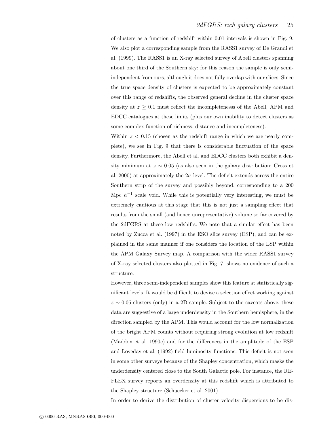of clusters as a function of redshift within 0.01 intervals is shown in Fig. 9. We also plot a corresponding sample from the RASS1 survey of De Grandi et al. (1999). The RASS1 is an X-ray selected survey of Abell clusters spanning about one third of the Southern sky: for this reason the sample is only semiindependent from ours, although it does not fully overlap with our slices. Since the true space density of clusters is expected to be approximately constant over this range of redshifts, the observed general decline in the cluster space density at  $z \geq 0.1$  must reflect the incompletenesss of the Abell, APM and EDCC catalogues at these limits (plus our own inability to detect clusters as some complex function of richness, distance and incompleteness).

Within  $z < 0.15$  (chosen as the redshift range in which we are nearly complete), we see in Fig. 9 that there is considerable fluctuation of the space density. Furthermore, the Abell et al. and EDCC clusters both exhibit a density minimum at  $z \sim 0.05$  (as also seen in the galaxy distribution; Cross et al. 2000) at approximately the  $2\sigma$  level. The deficit extends across the entire Southern strip of the survey and possibly beyond, corresponding to a 200 Mpc  $h^{-1}$  scale void. While this is potentially very interesting, we must be extremely cautious at this stage that this is not just a sampling effect that results from the small (and hence unrepresentative) volume so far covered by the 2dFGRS at these low redshifts. We note that a similar effect has been noted by Zucca et al. (1997) in the ESO slice survey (ESP), and can be explained in the same manner if one considers the location of the ESP within the APM Galaxy Survey map. A comparison with the wider RASS1 survey of X-ray selected clusters also plotted in Fig. 7, shows no evidence of such a structure.

However, three semi-independent samples show this feature at statistically significant levels. It would be difficult to devise a selection effect working against  $z \sim 0.05$  clusters (only) in a 2D sample. Subject to the caveats above, these data are suggestive of a large underdensity in the Southern hemisphere, in the direction sampled by the APM. This would account for the low normalization of the bright APM counts without requiring strong evolution at low redshift (Maddox et al. 1990c) and for the differences in the amplitude of the ESP and Loveday et al. (1992) field luminosity functions. This deficit is not seen in some other surveys because of the Shapley concentration, which masks the underdensity centered close to the South Galactic pole. For instance, the RE-FLEX survey reports an overdensity at this redshift which is attributed to the Shapley structure (Schuecker et al. 2001).

In order to derive the distribution of cluster velocity dispersions to be dis-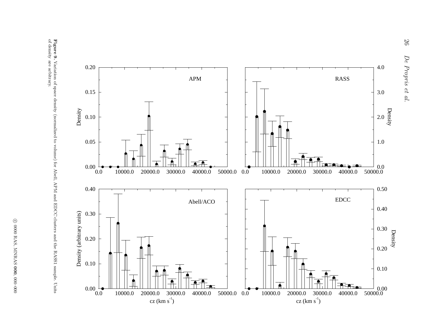



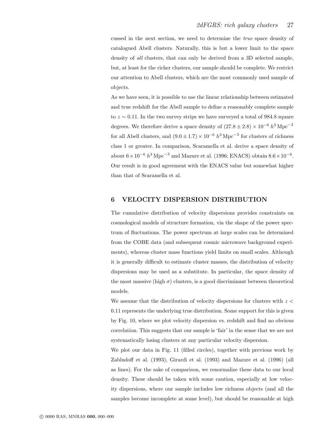cussed in the next section, we need to determine the true space density of catalogued Abell clusters. Naturally, this is but a lower limit to the space density of all clusters, that can only be derived from a 3D selected sample, but, at least for the richer clusters, our sample should be complete. We restrict our attention to Abell clusters, which are the most commonly used sample of objects.

As we have seen, it is possible to use the linear relationship between estimated and true redshift for the Abell sample to define a reasonably complete sample to  $z \sim 0.11$ . In the two survey strips we have surveyed a total of 984.8 square degrees. We therefore derive a space density of  $(27.8 \pm 2.8) \times 10^{-6} h^3 \text{ Mpc}^{-3}$ for all Abell clusters, and  $(9.0 \pm 1.7) \times 10^{-6} h^3 \text{ Mpc}^{-3}$  for clusters of richness class 1 or greater. In comparison, Scaramella et al. derive a space density of about  $6 \times 10^{-6} h^3 \text{ Mpc}^{-3}$  and Mazure et al. (1996; ENACS) obtain  $8.6 \times 10^{-6}$ . Our result is in good agreement with the ENACS value but somewhat higher than that of Scaramella et al.

# 6 VELOCITY DISPERSION DISTRIBUTION

The cumulative distribution of velocity dispersions provides constraints on cosmological models of structure formation, via the shape of the power spectrum of fluctuations. The power spectrum at large scales can be determined from the COBE data (and subsequent cosmic microwave background experiments), whereas cluster mass functions yield limits on small scales. Although it is generally difficult to estimate cluster masses, the distribution of velocity dispersions may be used as a substitute. In particular, the space density of the most massive (high  $\sigma$ ) clusters, is a good discriminant between theoretical models.

We assume that the distribution of velocity dispersions for clusters with  $z <$ 0.11 represents the underlying true distribution. Some support for this is given by Fig. 10, where we plot velocity dispersion vs. redshift and find no obvious correlation. This suggests that our sample is 'fair' in the sense that we are not systematically losing clusters at any particular velocity dispersion.

We plot our data in Fig. 11 (filled circles), together with previous work by Zabludoff et al. (1993), Girardi et al. (1993) and Mazure et al. (1996) (all as lines). For the sake of comparison, we renormalize these data to our local density. These should be taken with some caution, especially at low velocity dispersions, where our sample includes low richness objects (and all the samples become incomplete at some level), but should be reasonable at high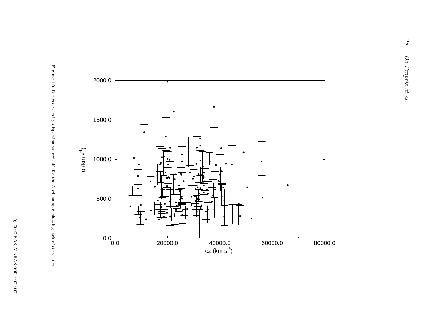

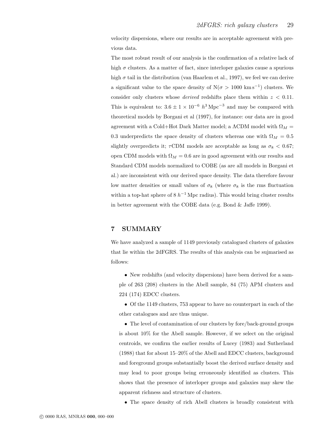velocity dispersions, where our results are in acceptable agreement with previous data.

The most robust result of our analysis is the confirmation of a relative lack of high  $\sigma$  clusters. As a matter of fact, since interloper galaxies cause a spurious high  $\sigma$  tail in the distribution (van Haarlem et al., 1997), we feel we can derive a significant value to the space density of  $N(\sigma > 1000 \text{ km s}^{-1})$  clusters. We consider only clusters whose *derived* redshifts place them within  $z < 0.11$ . This is equivalent to:  $3.6 \pm 1 \times 10^{-6}$   $h^{3}$  Mpc<sup>-3</sup> and may be compared with theoretical models by Borgani et al (1997), for instance: our data are in good agreement with a Cold+Hot Dark Matter model; a  $\Lambda$ CDM model with  $\Omega_M =$ 0.3 underpredicts the space density of clusters whereas one with  $\Omega_M = 0.5$ slightly overpredicts it;  $\tau$ CDM models are acceptable as long as  $\sigma_8 < 0.67$ ; open CDM models with  $\Omega_M = 0.6$  are in good agreement with our results and Standard CDM models normalized to COBE (as are all models in Borgani et al.) are inconsistent with our derived space density. The data therefore favour low matter densities or small values of  $\sigma_8$  (where  $\sigma_8$  is the rms fluctuation within a top-hat sphere of  $8 h^{-1}$  Mpc radius). This would bring cluster results in better agreement with the COBE data (e.g. Bond & Jaffe 1999).

### 7 SUMMARY

We have analyzed a sample of 1149 previously catalogued clusters of galaxies that lie within the 2dFGRS. The results of this analysis can be sujmarised as follows:

• New redshifts (and velocity dispersions) have been derived for a sample of 263 (208) clusters in the Abell sample, 84 (75) APM clusters and 224 (174) EDCC clusters.

• Of the 1149 clusters, 753 appear to have no counterpart in each of the other catalogues and are thus unique.

• The level of contamination of our clusters by fore/back-ground groups is about 10% for the Abell sample. However, if we select on the original centroids, we confirm the earlier results of Lucey (1983) and Sutherland (1988) that for about 15–20% of the Abell and EDCC clusters, background and foreground groups substantially boost the derived surface density and may lead to poor groups being erroneously identified as clusters. This shows that the presence of interloper groups and galaxies may skew the apparent richness and structure of clusters.

• The space density of rich Abell clusters is broadly consistent with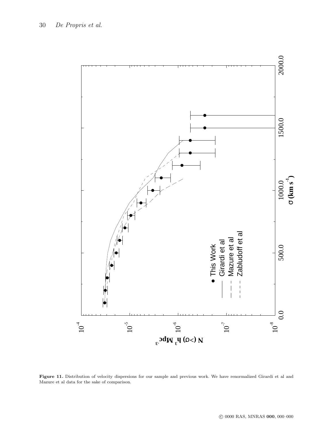

Figure 11. Distribution of velocity dispersions for our sample and previous work. We have renormalized Girardi et al and Mazure et al data for the sake of comparison.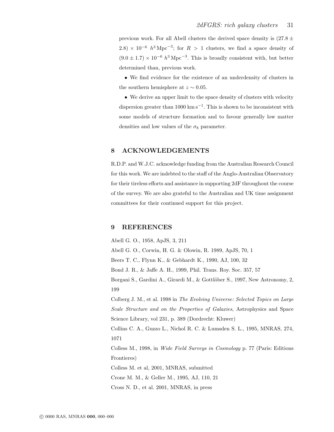previous work. For all Abell clusters the derived space density is  $(27.8 \pm$  $(2.8) \times 10^{-6}$   $h^{3}$  Mpc<sup>-3</sup>; for  $R > 1$  clusters, we find a space density of  $(9.0 \pm 1.7) \times 10^{-6} h^3 \text{ Mpc}^{-3}$ . This is broadly consistent with, but better determined than, previous work.

• We find evidence for the existence of an underdensity of clusters in the southern hemisphere at  $z \sim 0.05$ .

• We derive an upper limit to the space density of clusters with velocity dispersion greater than 1000 km s<sup>-1</sup>. This is shown to be inconsistent with some models of structure formation and to favour generally low matter densities and low values of the  $\sigma_8$  parameter.

# 8 ACKNOWLEDGEMENTS

R.D.P. and W.J.C. acknowledge funding from the Australian Research Council for this work. We are indebted to the staff of the Anglo-Australian Observatory for their tireless efforts and assistance in supporting 2dF throughout the course of the survey. We are also grateful to the Australian and UK time assignment committees for their continued support for this project.

### 9 REFERENCES

Abell G. O., 1958, ApJS, 3, 211 Abell G. O., Corwin, H. G. & Olowin, R. 1989, ApJS, 70, 1 Beers T. C., Flynn K., & Gebhardt K., 1990, AJ, 100, 32 Bond J. R., & Jaffe A. H., 1999, Phil. Trans. Roy. Soc. 357, 57 Borgani S., Gardini A., Girardi M., & Gottlöber S., 1997, New Astronomy, 2, 199 Colberg J. M., et al. 1998 in The Evolving Universe: Selected Topics on Large Scale Structure and on the Properties of Galaxies, Astrophysics and Space Science Library, vol 231, p. 389 (Dordrecht: Kluwer) Collins C. A., Guzzo L., Nichol R. C. & Lumsden S. L., 1995, MNRAS, 274, 1071 Colless M., 1998, in Wide Field Surveys in Cosmology p. 77 (Paris: Editions Frontieres) Colless M. et al, 2001, MNRAS, submitted Crone M. M., & Geller M., 1995, AJ, 110, 21 Cross N. D., et al. 2001, MNRAS, in press